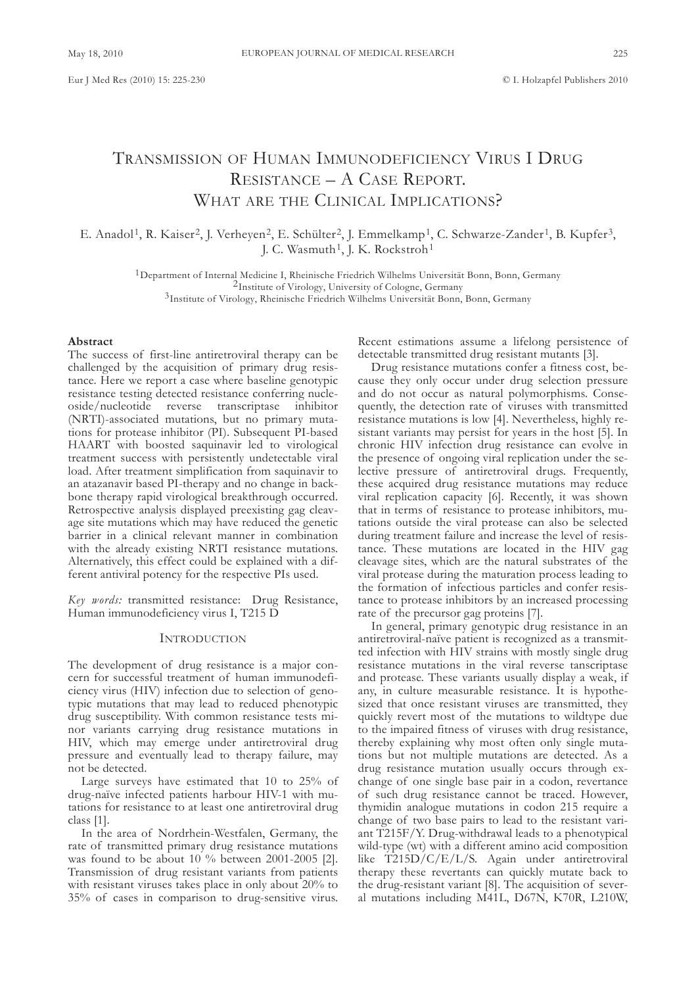# TRANSMISSION OF HUMAN IMMUNODEFICIENCY VIRUS I DRUG RESISTANCE – A CASE REPORT. WHAT ARE THE CLINICAL IMPLICATIONS?

E. Anadol<sup>1</sup>, R. Kaiser<sup>2</sup>, J. Verheyen<sup>2</sup>, E. Schülter<sup>2</sup>, J. Emmelkamp<sup>1</sup>, C. Schwarze-Zander<sup>1</sup>, B. Kupfer<sup>3</sup>, J. C. Wasmuth<sup>1</sup>, J. K. Rockstroh<sup>1</sup>

> $1$ Department of Internal Medicine I, Rheinische Friedrich Wilhelms Universität Bonn, Bonn, Germany  $2$ Institute of Virology, University of Cologne, Germany <sup>3</sup>Institute of Virology, Rheinische Friedrich Wilhelms Universität Bonn, Bonn, Germany

### **Abstract**

The success of first-line antiretroviral therapy can be challenged by the acquisition of primary drug resistance. Here we report a case where baseline genotypic resistance testing detected resistance conferring nucleoside/nucleotide reverse transcriptase inhibitor (nRTI)-associated mutations, but no primary mutations for protease inhibitor (PI). subsequent PI-based HAART with boosted saquinavir led to virological treatment success with persistently undetectable viral load. After treatment simplification from saquinavir to an atazanavir based PI-therapy and no change in backbone therapy rapid virological breakthrough occurred. Retrospective analysis displayed preexisting gag cleavage site mutations which may have reduced the genetic barrier in a clinical relevant manner in combination with the already existing NRTI resistance mutations. Alternatively, this effect could be explained with a different antiviral potency for the respective PIs used.

*Key words:* transmitted resistance: Drug Resistance, Human immunodeficiency virus I, T215 D

## InTRoducTIon

The development of drug resistance is a major concern for successful treatment of human immunodeficiency virus (HIV) infection due to selection of genotypic mutations that may lead to reduced phenotypic drug susceptibility. With common resistance tests minor variants carrying drug resistance mutations in HIV, which may emerge under antiretroviral drug pressure and eventually lead to therapy failure, may not be detected.

Large surveys have estimated that 10 to 25% of drug-naïve infected patients harbour HIV-1 with mutations for resistance to at least one antiretroviral drug class [1].

In the area of Nordrhein-Westfalen, Germany, the rate of transmitted primary drug resistance mutations was found to be about 10 % between 2001-2005 [2]. Transmission of drug resistant variants from patients with resistant viruses takes place in only about 20% to 35% of cases in comparison to drug-sensitive virus.

Recent estimations assume a lifelong persistence of detectable transmitted drug resistant mutants [3].

Drug resistance mutations confer a fitness cost, because they only occur under drug selection pressure and do not occur as natural polymorphisms. Consequently, the detection rate of viruses with transmitted resistance mutations is low [4]. nevertheless, highly resistant variants may persist for years in the host [5]. In chronic HIV infection drug resistance can evolve in the presence of ongoing viral replication under the selective pressure of antiretroviral drugs. frequently, these acquired drug resistance mutations may reduce viral replication capacity [6]. Recently, it was shown that in terms of resistance to protease inhibitors, mutations outside the viral protease can also be selected during treatment failure and increase the level of resistance. These mutations are located in the HIV gag cleavage sites, which are the natural substrates of the viral protease during the maturation process leading to the formation of infectious particles and confer resistance to protease inhibitors by an increased processing rate of the precursor gag proteins [7].

In general, primary genotypic drug resistance in an antiretroviral-naïve patient is recognized as a transmitted infection with HIV strains with mostly single drug resistance mutations in the viral reverse tanscriptase and protease. These variants usually display a weak, if any, in culture measurable resistance. It is hypothesized that once resistant viruses are transmitted, they quickly revert most of the mutations to wildtype due to the impaired fitness of viruses with drug resistance, thereby explaining why most often only single mutations but not multiple mutations are detected. As a drug resistance mutation usually occurs through exchange of one single base pair in a codon, revertance of such drug resistance cannot be traced. However, thymidin analogue mutations in codon 215 require a change of two base pairs to lead to the resistant variant T215F/Y. Drug-withdrawal leads to a phenotypical wild-type (wt) with a different amino acid composition like  $\text{T}215\text{D}/\text{C}/\text{E}/\text{L}/\text{S}$ . Again under antiretroviral therapy these revertants can quickly mutate back to the drug-resistant variant [8]. The acquisition of several mutations including M41L, D67N, K70R, L210W,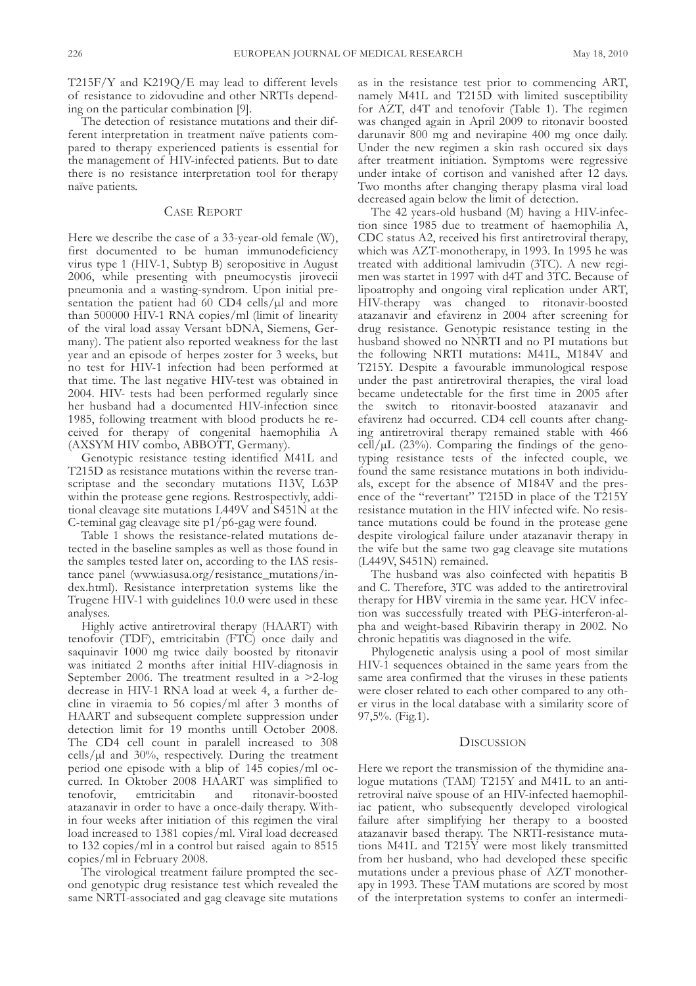T215f/y and K219Q/E may lead to different levels of resistance to zidovudine and other nRTIs depending on the particular combination [9].

The detection of resistance mutations and their different interpretation in treatment naïve patients compared to therapy experienced patients is essential for the management of HIV-infected patients. But to date there is no resistance interpretation tool for therapy naïve patients.

# casE REPoRT

Here we describe the case of a 33-year-old female (W), first documented to be human immunodeficiency virus type 1 (HIV-1, Subtyp B) seropositive in August 2006, while presenting with pneumocystis jirovecii pneumonia and a wasting-syndrom. Upon initial presentation the patient had 60 CD4 cells/ $\mu$ l and more than 500000 HIV-1 RNA copies/ml (limit of linearity of the viral load assay Versant bDNA, Siemens, Germany). The patient also reported weakness for the last year and an episode of herpes zoster for 3 weeks, but no test for HIV-1 infection had been performed at that time. The last negative HIV-test was obtained in 2004. HIV- tests had been performed regularly since her husband had a documented HIV-infection since 1985, following treatment with blood products he received for therapy of congenital haemophilia a (AXSYM HIV combo, ABBOTT, Germany).

Genotypic resistance testing identified M41L and T215D as resistance mutations within the reverse transcriptase and the secondary mutations I13V, L63P within the protease gene regions. Restrospectivly, additional cleavage site mutations l449V and s451n at the c-teminal gag cleavage site p1/p6-gag were found.

Table 1 shows the resistance-related mutations detected in the baseline samples as well as those found in the samples tested later on, according to the IAS resistance panel (www.iasusa.org/resistance\_mutations/index.html). Resistance interpretation systems like the Trugene HIV-1 with guidelines 10.0 were used in these analyses.

Highly active antiretroviral therapy (HAART) with tenofovir (TDF), emtricitabin (FTC) once daily and saquinavir 1000 mg twice daily boosted by ritonavir was initiated 2 months after initial HIV-diagnosis in september 2006. The treatment resulted in a >2-log decrease in HIV-1 RNA load at week 4, a further decline in viraemia to 56 copies/ml after 3 months of HAART and subsequent complete suppression under detection limit for 19 months untill October 2008. The CD4 cell count in paralell increased to 308 cells/ $\mu$ l and 30%, respectively. During the treatment period one episode with a blip of 145 copies/ml occurred. In Oktober 2008 HAART was simplified to tenofovir, emtricitabin and ritonavir-boosted atazanavir in order to have a once-daily therapy. Within four weeks after initiation of this regimen the viral load increased to 1381 copies/ml. Viral load decreased to 132 copies/ml in a control but raised again to 8515 copies/ml in february 2008.

The virological treatment failure prompted the second genotypic drug resistance test which revealed the same NRTI-associated and gag cleavage site mutations as in the resistance test prior to commencing aRT, namely M41L and T215D with limited susceptibility for aZT, d4T and tenofovir (Table 1). The regimen was changed again in April 2009 to ritonavir boosted darunavir 800 mg and nevirapine 400 mg once daily. Under the new regimen a skin rash occured six days after treatment initiation. symptoms were regressive under intake of cortison and vanished after 12 days. Two months after changing therapy plasma viral load decreased again below the limit of detection.

The 42 years-old husband (M) having a HIV-infection since 1985 due to treatment of haemophilia A, CDC status A2, received his first antiretroviral therapy, which was aZT-monotherapy, in 1993. In 1995 he was treated with additional lamivudin (3TC). A new regimen was startet in 1997 with d4T and 3Tc. Because of lipoatrophy and ongoing viral replication under aRT, HIV-therapy was changed to ritonavir-boosted atazanavir and efavirenz in 2004 after screening for drug resistance. Genotypic resistance testing in the husband showed no NNRTI and no PI mutations but the following nRTI mutations: M41l, M184V and T215Y. Despite a favourable immunological respose under the past antiretroviral therapies, the viral load became undetectable for the first time in 2005 after the switch to ritonavir-boosted atazanavir and efavirenz had occurred. CD4 cell counts after changing antiretroviral therapy remained stable with 466  $ce\bar{l}/\mu L$  (23%). Comparing the findings of the genotyping resistance tests of the infected couple, we found the same resistance mutations in both individuals, except for the absence of M184V and the presence of the "revertant" T215D in place of the T215Y resistance mutation in the HIV infected wife. No resistance mutations could be found in the protease gene despite virological failure under atazanavir therapy in the wife but the same two gag cleavage site mutations (L449V, S451N) remained.

The husband was also coinfected with hepatitis B and c. Therefore, 3Tc was added to the antiretroviral therapy for HBV viremia in the same year. HcV infection was successfully treated with PEg-interferon-alpha and weight-based Ribavirin therapy in 2002. No chronic hepatitis was diagnosed in the wife.

Phylogenetic analysis using a pool of most similar HIV-1 sequences obtained in the same years from the same area confirmed that the viruses in these patients were closer related to each other compared to any other virus in the local database with a similarity score of 97,5%. (fig.1).

## **DISCUSSION**

Here we report the transmission of the thymidine analogue mutations (TAM) T215Y and M41L to an antiretroviral naïve spouse of an HIV-infected haemophiliac patient, who subsequently developed virological failure after simplifying her therapy to a boosted atazanavir based therapy. The nRTI-resistance mutations M41L and T215 $\overline{Y}$  were most likely transmitted from her husband, who had developed these specific mutations under a previous phase of aZT monotherapy in 1993. These TaM mutations are scored by most of the interpretation systems to confer an intermedi-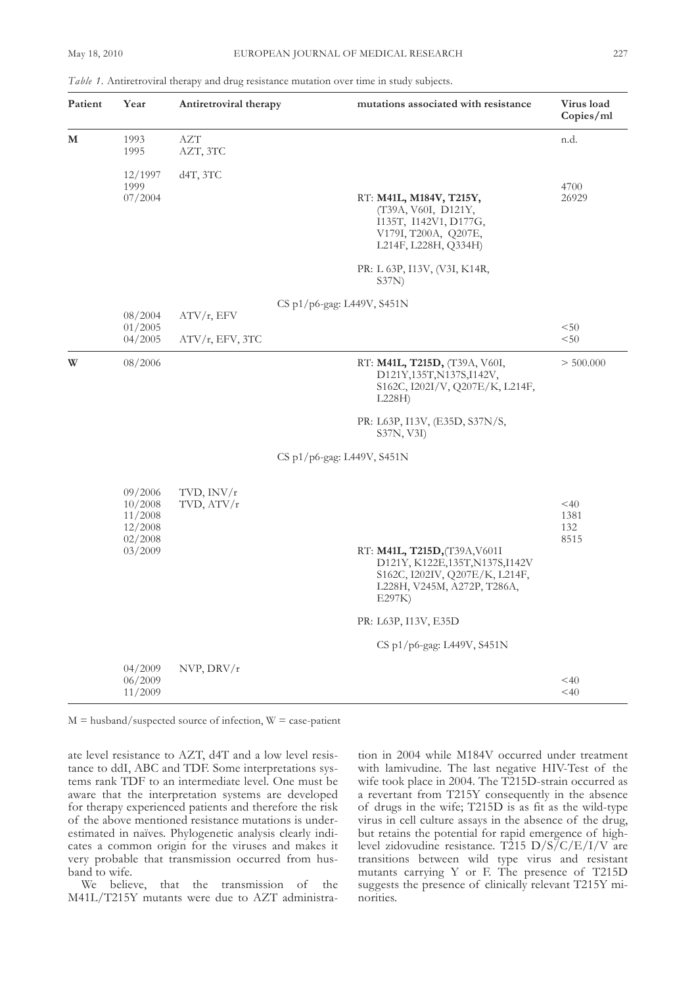| Table 1. Antiretroviral therapy and drug resistance mutation over time in study subjects |  |  |  |
|------------------------------------------------------------------------------------------|--|--|--|
|                                                                                          |  |  |  |

| Patient | Year                                                           | Antiretroviral therapy     | mutations associated with resistance                                                                                                                                | Virus load<br>Copies/ml       |
|---------|----------------------------------------------------------------|----------------------------|---------------------------------------------------------------------------------------------------------------------------------------------------------------------|-------------------------------|
| М       | 1993<br>1995                                                   | <b>AZT</b><br>AZT, 3TC     |                                                                                                                                                                     | n.d.                          |
|         | 12/1997<br>1999<br>07/2004                                     | $d4T$ , $3TC$              | RT: M41L, M184V, T215Y,<br>(T39A, V60I, D121Y,<br>I135T, I142V1, D177G,<br>V179I, T200A, Q207E,<br>L214F, L228H, Q334H)                                             | 4700<br>26929                 |
|         |                                                                |                            | PR: L 63P, I13V, (V3I, K14R,<br>S37N)                                                                                                                               |                               |
|         | 08/2004                                                        | ATV/r, EFV                 | CS p $1/p6$ -gag: L449V, S451N                                                                                                                                      |                               |
|         | 01/2005<br>04/2005                                             | $ATV/r$ , EFV, 3TC         |                                                                                                                                                                     | < 50<br>< 50                  |
| W       | 08/2006                                                        |                            | RT: M41L, T215D, (T39A, V60I,<br>D121Y,135T,N137S,I142V,<br>S162C, I202I/V, Q207E/K, L214F,<br>L228H                                                                | > 500.000                     |
|         |                                                                |                            | PR: L63P, I13V, (E35D, S37N/S,<br>S37N, V3I)                                                                                                                        |                               |
|         |                                                                |                            | CS p1/p6-gag: L449V, S451N                                                                                                                                          |                               |
|         | 09/2006<br>10/2008<br>11/2008<br>12/2008<br>02/2008<br>03/2009 | TVD, $INV/r$<br>TVD, ATV/r | RT: M41L, T215D, (T39A, V601I<br>D121Y, K122E, 135T, N137S, I142V<br>S162C, I202IV, Q207E/K, L214F,<br>L228H, V245M, A272P, T286A,<br>E297K<br>PR: L63P, I13V, E35D | $<$ 40<br>1381<br>132<br>8515 |
|         |                                                                |                            | CS p1/p6-gag: L449V, S451N                                                                                                                                          |                               |
|         | 04/2009<br>06/2009<br>11/2009                                  | NVP, DRV/r                 |                                                                                                                                                                     | $<$ 40<br>$<$ 40              |

 $M =$  husband/suspected source of infection,  $W =$  case-patient

ate level resistance to aZT, d4T and a low level resistance to ddI, ABC and TDF. Some interpretations systems rank TDF to an intermediate level. One must be aware that the interpretation systems are developed for therapy experienced patients and therefore the risk of the above mentioned resistance mutations is underestimated in naïves. Phylogenetic analysis clearly indicates a common origin for the viruses and makes it very probable that transmission occurred from husband to wife.

We believe, that the transmission of the M41l/T215y mutants were due to aZT administration in 2004 while M184V occurred under treatment with lamivudine. The last negative HIV-Test of the wife took place in 2004. The T215D-strain occurred as a revertant from T215y consequently in the absence of drugs in the wife; T215D is as fit as the wild-type virus in cell culture assays in the absence of the drug, but retains the potential for rapid emergence of highlevel zidovudine resistance. T215  $D/S/C/E/I/V$  are transitions between wild type virus and resistant mutants carrying Y or F. The presence of T215D suggests the presence of clinically relevant T215y minorities.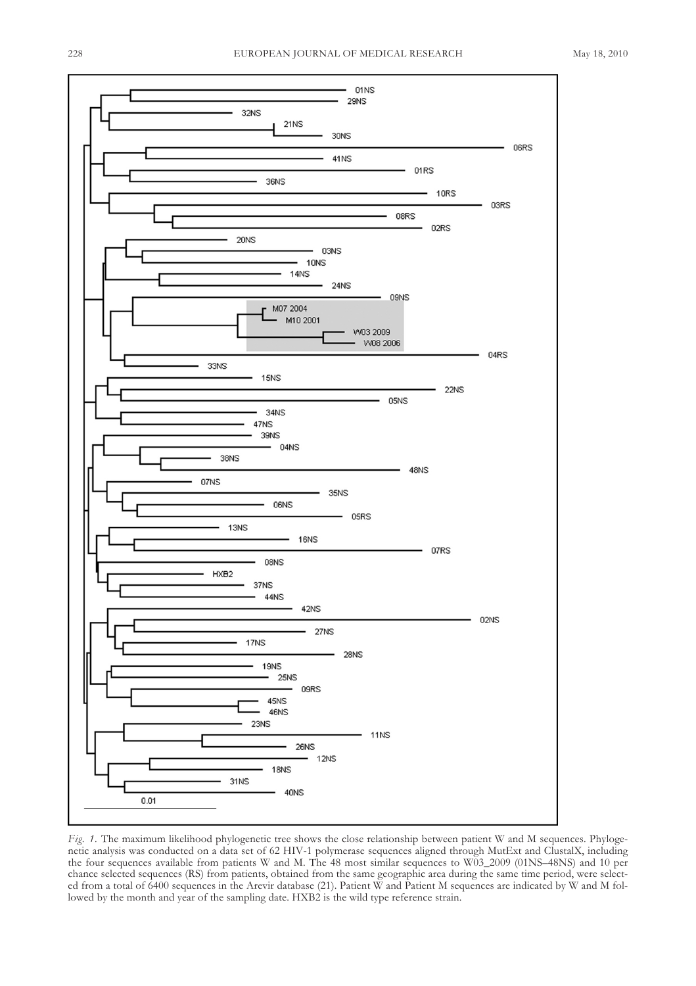

*Fig. 1.* The maximum likelihood phylogenetic tree shows the close relationship between patient W and M sequences. Phylogenetic analysis was conducted on a data set of 62 HIV-1 polymerase sequences aligned through MutExt and clustalX, including the four sequences available from patients W and M. The 48 most similar sequences to W03\_2009 (01ns–48ns) and 10 per chance selected sequences (Rs) from patients, obtained from the same geographic area during the same time period, were selected from a total of 6400 sequences in the Arevir database (21). Patient W and Patient M sequences are indicated by W and M followed by the month and year of the sampling date. HXB2 is the wild type reference strain.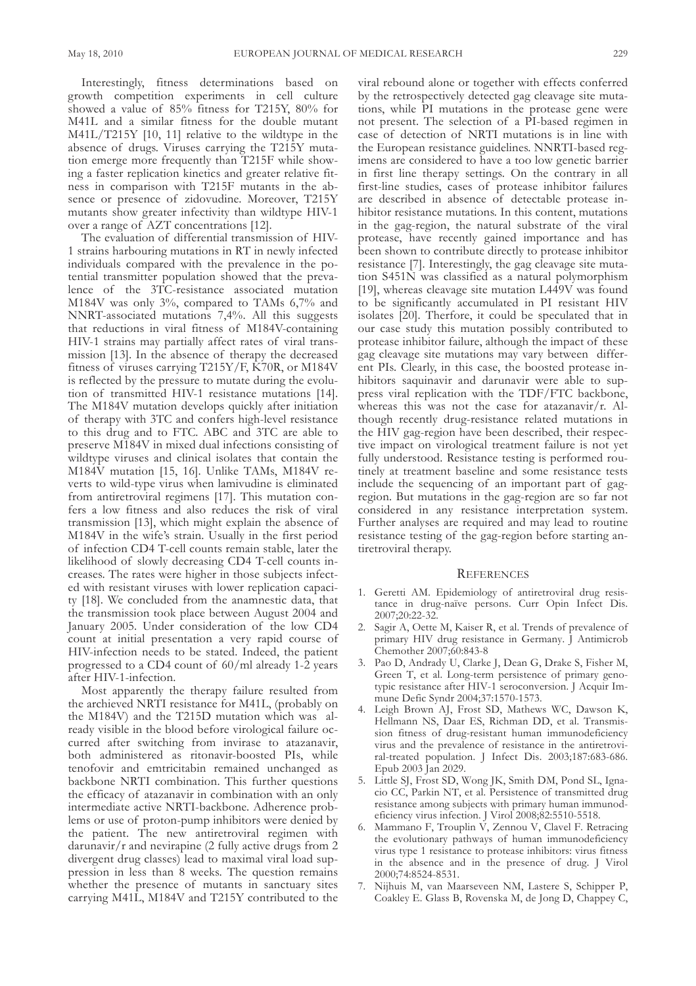Interestingly, fitness determinations based on growth competition experiments in cell culture showed a value of 85% fitness for T215y, 80% for M41l and a similar fitness for the double mutant M41l/T215y [10, 11] relative to the wildtype in the absence of drugs. Viruses carrying the T215y mutation emerge more frequently than T215f while showing a faster replication kinetics and greater relative fitness in comparison with T215f mutants in the absence or presence of zidovudine. Moreover, T215y mutants show greater infectivity than wildtype HIV-1 over a range of aZT concentrations [12].

The evaluation of differential transmission of HIV-1 strains harbouring mutations in RT in newly infected individuals compared with the prevalence in the potential transmitter population showed that the prevalence of the 3Tc-resistance associated mutation M184V was only 3%, compared to TaMs 6,7% and NNRT-associated mutations 7,4%. All this suggests that reductions in viral fitness of M184V-containing HIV-1 strains may partially affect rates of viral transmission [13]. In the absence of therapy the decreased fitness of viruses carrying T215y/f, K70R, or M184V is reflected by the pressure to mutate during the evolution of transmitted HIV-1 resistance mutations [14]. The M184V mutation develops quickly after initiation of therapy with 3Tc and confers high-level resistance to this drug and to fTc. aBc and 3Tc are able to preserve M184V in mixed dual infections consisting of wildtype viruses and clinical isolates that contain the M184V mutation [15, 16]. Unlike TAMs, M184V reverts to wild-type virus when lamivudine is eliminated from antiretroviral regimens [17]. This mutation confers a low fitness and also reduces the risk of viral transmission [13], which might explain the absence of M184V in the wife's strain. Usually in the first period of infection CD4 T-cell counts remain stable, later the likelihood of slowly decreasing CD4 T-cell counts increases. The rates were higher in those subjects infected with resistant viruses with lower replication capacity [18]. We concluded from the anamnestic data, that the transmission took place between August 2004 and January 2005. Under consideration of the low CD4 count at initial presentation a very rapid course of HIV-infection needs to be stated. Indeed, the patient progressed to a CD4 count of  $60/ml$  already 1-2 years after HIV-1-infection.

Most apparently the therapy failure resulted from the archieved nRTI resistance for M41l, (probably on the M184V) and the T215D mutation which was already visible in the blood before virological failure occurred after switching from invirase to atazanavir, both administered as ritonavir-boosted PIs, while tenofovir and emtricitabin remained unchanged as backbone NRTI combination. This further questions the efficacy of atazanavir in combination with an only intermediate active NRTI-backbone. Adherence problems or use of proton-pump inhibitors were denied by the patient. The new antiretroviral regimen with darunavir/r and nevirapine (2 fully active drugs from 2 divergent drug classes) lead to maximal viral load suppression in less than 8 weeks. The question remains whether the presence of mutants in sanctuary sites carrying M41l, M184V and T215y contributed to the

viral rebound alone or together with effects conferred by the retrospectively detected gag cleavage site mutations, while PI mutations in the protease gene were not present. The selection of a PI-based regimen in case of detection of nRTI mutations is in line with the European resistance guidelines. NNRTI-based regimens are considered to have a too low genetic barrier in first line therapy settings. On the contrary in all first-line studies, cases of protease inhibitor failures are described in absence of detectable protease inhibitor resistance mutations. In this content, mutations in the gag-region, the natural substrate of the viral protease, have recently gained importance and has been shown to contribute directly to protease inhibitor resistance [7]. Interestingly, the gag cleavage site mutation s451n was classified as a natural polymorphism [19], whereas cleavage site mutation l449V was found to be significantly accumulated in PI resistant HIV isolates [20]. Therfore, it could be speculated that in our case study this mutation possibly contributed to protease inhibitor failure, although the impact of these gag cleavage site mutations may vary between different PIs. clearly, in this case, the boosted protease inhibitors saquinavir and darunavir were able to suppress viral replication with the  $TDF/FTC$  backbone, whereas this was not the case for atazanavir/r. Although recently drug-resistance related mutations in the HIV gag-region have been described, their respective impact on virological treatment failure is not yet fully understood. Resistance testing is performed routinely at treatment baseline and some resistance tests include the sequencing of an important part of gagregion. But mutations in the gag-region are so far not considered in any resistance interpretation system. further analyses are required and may lead to routine resistance testing of the gag-region before starting antiretroviral therapy.

#### **REFERENCES**

- 1. Geretti AM. Epidemiology of antiretroviral drug resistance in drug-naïve persons. Curr Opin Infect Dis. 2007;20:22-32.
- 2. Sagir A, Oette M, Kaiser R, et al. Trends of prevalence of primary HIV drug resistance in Germany. J Antimicrob chemother 2007;60:843-8
- 3. Pao D, Andrady U, Clarke J, Dean G, Drake S, Fisher M, Green T, et al. Long-term persistence of primary genotypic resistance after HIV-1 seroconversion. J Acquir Immune Defic Syndr 2004;37:1570-1573.
- 4. Leigh Brown AJ, Frost SD, Mathews WC, Dawson K, Hellmann NS, Daar ES, Richman DD, et al. Transmission fitness of drug-resistant human immunodeficiency virus and the prevalence of resistance in the antiretroviral-treated population. J Infect Dis. 2003;187:683-686. Epub 2003 Jan 2029.
- 5. Little SJ, Frost SD, Wong JK, Smith DM, Pond SL, Ignacio cc, Parkin nT, et al. Persistence of transmitted drug resistance among subjects with primary human immunodeficiency virus infection. J Virol 2008;82:5510-5518.
- 6. Mammano f, Trouplin V, Zennou V, clavel f. Retracing the evolutionary pathways of human immunodeficiency virus type 1 resistance to protease inhibitors: virus fitness in the absence and in the presence of drug. J Virol 2000;74:8524-8531.
- 7. nijhuis M, van Maarseveen nM, lastere s, schipper P, Coakley E. Glass B, Rovenska M, de Jong D, Chappey C,